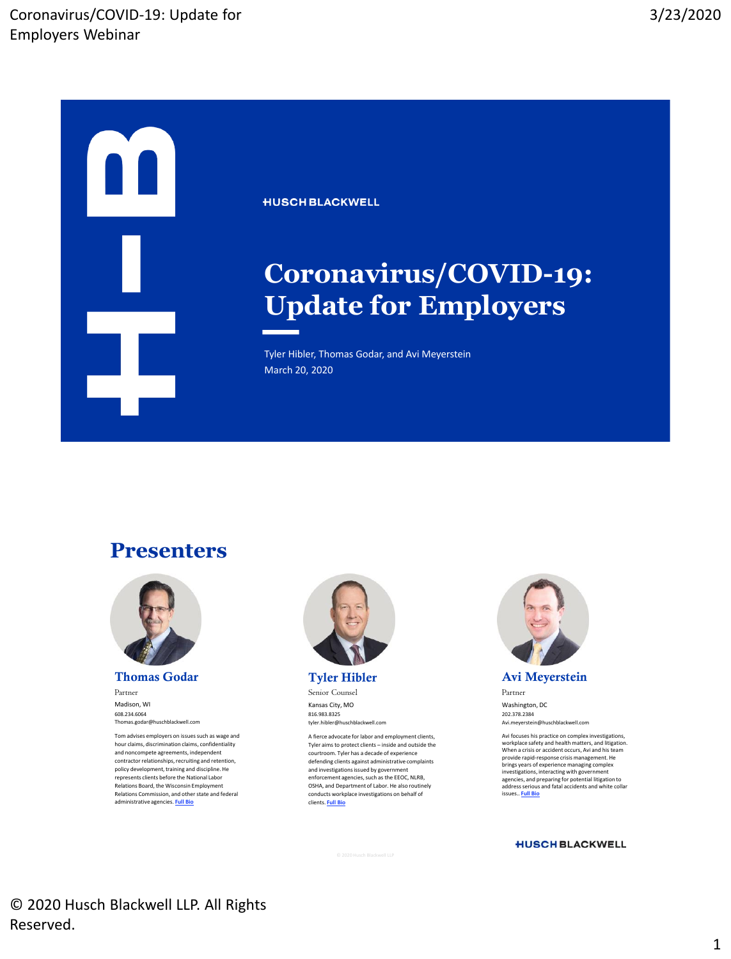

**HUSCH BLACKWELL** 

## **Coronavirus/COVID-19: Update for Employers**

Tyler Hibler, Thomas Godar, and Avi Meyerstein March 20, 2020

#### **Presenters**



**Thomas Godar**

Partner Madison, WI 608.234.6064 Thomas.godar@huschblackwell.com

Tom advises employers on issues such as wage and hour claims, discrimination claims, confidentiality and noncompete agreements, independent contractor relationships, recruiting and retention, policy development, training and discipline. He represents clients before the National Labor Relations Board, the Wisconsin Employment Relations Commission, and other state and federal administrative agencies. **[Full Bio](https://www.huschblackwell.com/professionals/thomas-godar)**



Senior Counsel Kansas City, MO 816.983.8325

tyler.hibler@huschblackwell.com

A fierce advocate for labor and employment clients, Tyler aims to protect clients – inside and outside the courtroom. Tyler has a decade of experience defending clients against administrative complaints and investigations issued by government enforcement agencies, such as the EEOC, NLRB, OSHA, and Department of Labor. He also routinely conducts workplace investigations on behalf of clients. **[Full Bio](https://huschblackwell.com/professionals/tyler-hibler)**



**Avi Meyerstein**

Partner Washington, DC 202.378.2384 Avi.meyerstein@huschblackwell.com

Avi focuses his practice on complex investigations, workplace safety and health matters, and litigation. When a crisis or accident occurs, Avi and his team provide rapid-response crisis management. He brings years of experience managing complex investigations, interacting with government agencies, and preparing for potential litigation to address serious and fatal accidents and white collar issues.. **[Full Bio](https://www.huschblackwell.com/professionals/avi-meyerstein)**

#### **HUSCH BLACKWELL**

© 2020 Husch Blackwell LLP. All Rights Reserved.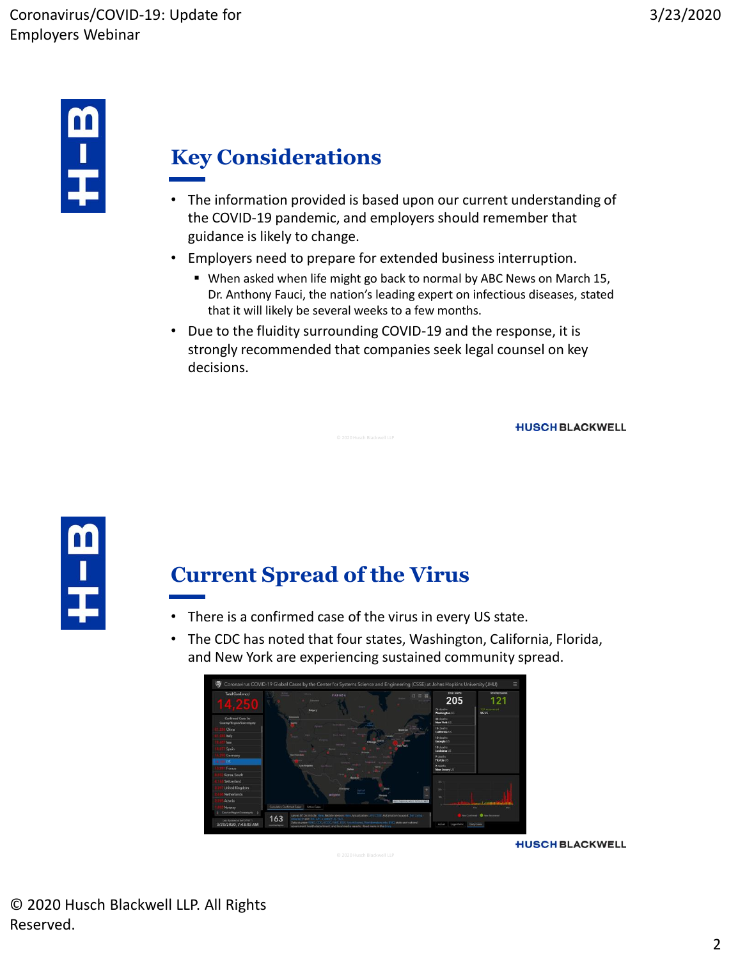

## **Key Considerations**

- The information provided is based upon our current understanding of the COVID-19 pandemic, and employers should remember that guidance is likely to change.
- Employers need to prepare for extended business interruption.
	- When asked when life might go back to normal by ABC News on March 15, Dr. Anthony Fauci, the nation's leading expert on infectious diseases, stated that it will likely be several weeks to a few months.
- Due to the fluidity surrounding COVID-19 and the response, it is strongly recommended that companies seek legal counsel on key decisions.

**HUSCH BLACKWELL** 



#### **Current Spread of the Virus**

- There is a confirmed case of the virus in every US state.
- The CDC has noted that four states, Washington, California, Florida, and New York are experiencing sustained community spread.

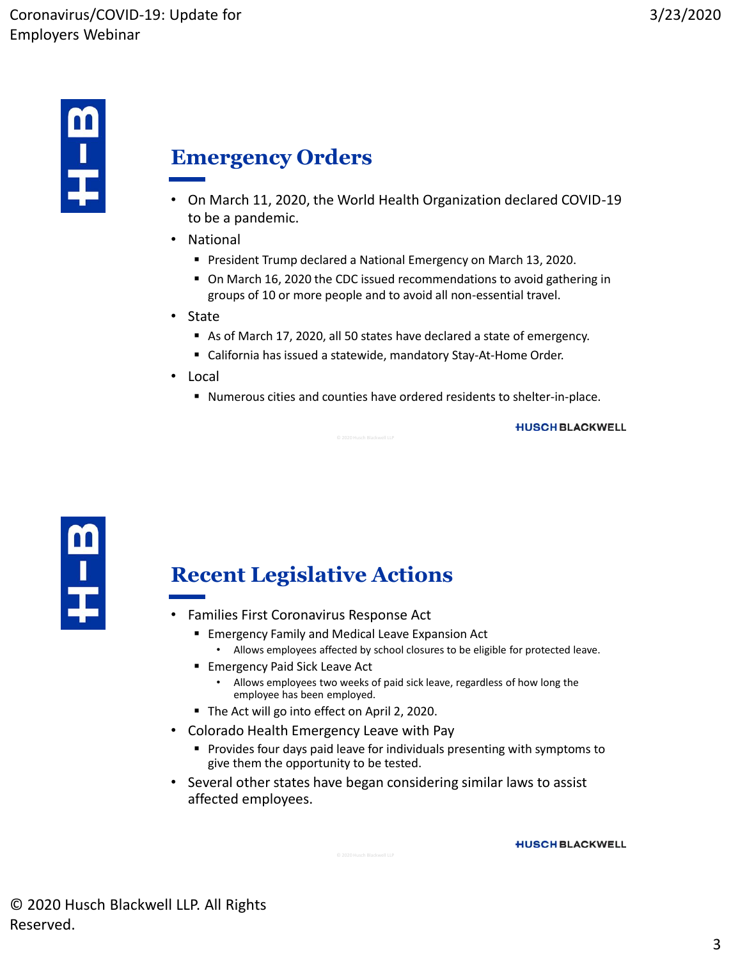

#### **Emergency Orders**

- On March 11, 2020, the World Health Organization declared COVID-19 to be a pandemic.
- National
	- **President Trump declared a National Emergency on March 13, 2020.**
	- On March 16, 2020 the CDC issued recommendations to avoid gathering in groups of 10 or more people and to avoid all non-essential travel.
- State
	- As of March 17, 2020, all 50 states have declared a state of emergency.
	- California has issued a statewide, mandatory Stay-At-Home Order.
- Local
	- Numerous cities and counties have ordered residents to shelter-in-place.

**HUSCH BLACKWELL** 



#### **Recent Legislative Actions**

- Families First Coronavirus Response Act
	- **Emergency Family and Medical Leave Expansion Act** 
		- Allows employees affected by school closures to be eligible for protected leave.
	- **Emergency Paid Sick Leave Act** 
		- Allows employees two weeks of paid sick leave, regardless of how long the employee has been employed.
	- The Act will go into effect on April 2, 2020.
- Colorado Health Emergency Leave with Pay
	- **Provides four days paid leave for individuals presenting with symptoms to** give them the opportunity to be tested.
- Several other states have began considering similar laws to assist affected employees.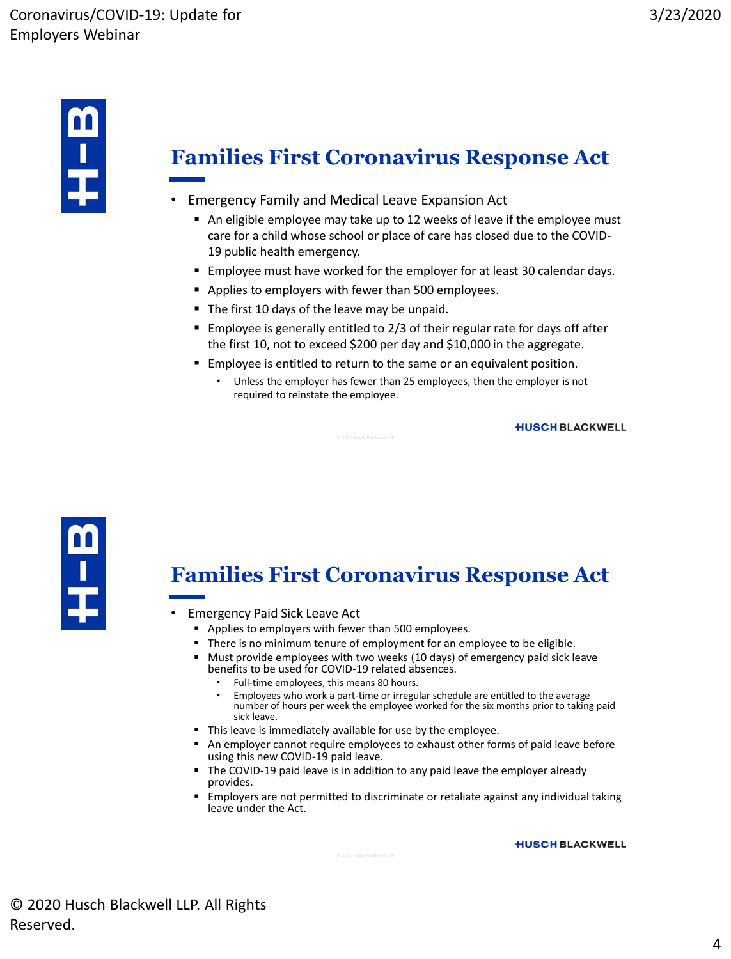

## **Families First Coronavirus Response Act**

- Emergency Family and Medical Leave Expansion Act
	- An eligible employee may take up to 12 weeks of leave if the employee must care for a child whose school or place of care has closed due to the COVID-19 public health emergency.
	- **Employee must have worked for the employer for at least 30 calendar days.**
	- **Applies to employers with fewer than 500 employees.**
	- The first 10 days of the leave may be unpaid.
	- Employee is generally entitled to 2/3 of their regular rate for days off after the first 10, not to exceed \$200 per day and \$10,000 in the aggregate.
	- **Employee is entitled to return to the same or an equivalent position.** 
		- Unless the employer has fewer than 25 employees, then the employer is not required to reinstate the employee.

**HUSCH BLACKWELL** 



#### **Families First Coronavirus Response Act**

- Emergency Paid Sick Leave Act
	- **Applies to employers with fewer than 500 employees.**
	- There is no minimum tenure of employment for an employee to be eligible.
	- Must provide employees with two weeks (10 days) of emergency paid sick leave benefits to be used for COVID-19 related absences.
		- Full-time employees, this means 80 hours.
		- Employees who work a part-time or irregular schedule are entitled to the average number of hours per week the employee worked for the six months prior to taking paid sick leave.
	- This leave is immediately available for use by the employee.
	- An employer cannot require employees to exhaust other forms of paid leave before using this new COVID-19 paid leave.
	- The COVID-19 paid leave is in addition to any paid leave the employer already provides.
	- **Employers are not permitted to discriminate or retaliate against any individual taking** leave under the Act.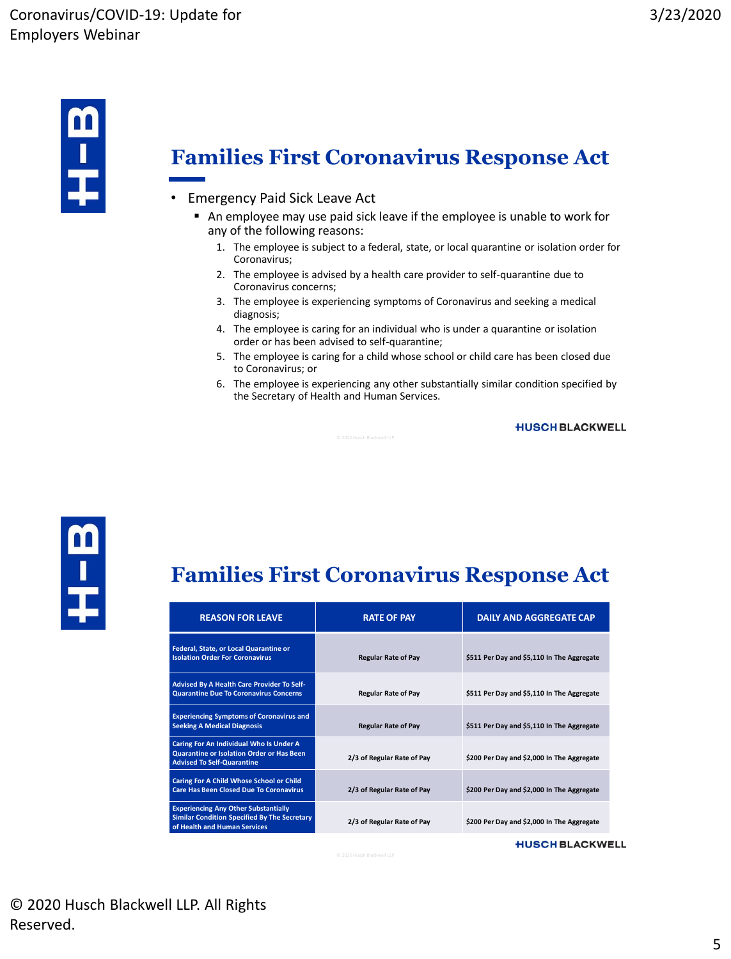

#### **Families First Coronavirus Response Act**

- Emergency Paid Sick Leave Act
	- An employee may use paid sick leave if the employee is unable to work for any of the following reasons:
		- 1. The employee is subject to a federal, state, or local quarantine or isolation order for Coronavirus;
		- 2. The employee is advised by a health care provider to self-quarantine due to Coronavirus concerns;
		- 3. The employee is experiencing symptoms of Coronavirus and seeking a medical diagnosis;
		- 4. The employee is caring for an individual who is under a quarantine or isolation order or has been advised to self-quarantine;
		- 5. The employee is caring for a child whose school or child care has been closed due to Coronavirus; or
		- 6. The employee is experiencing any other substantially similar condition specified by the Secretary of Health and Human Services.

#### **HUSCH BLACKWELL**



#### **Families First Coronavirus Response Act**

| <b>REASON FOR LEAVE</b>                                                                                                            | <b>RATE OF PAY</b>         | <b>DAILY AND AGGREGATE CAP</b>             |
|------------------------------------------------------------------------------------------------------------------------------------|----------------------------|--------------------------------------------|
| Federal, State, or Local Quarantine or<br><b>Isolation Order For Coronavirus</b>                                                   | <b>Regular Rate of Pay</b> | \$511 Per Day and \$5,110 In The Aggregate |
| Advised By A Health Care Provider To Self-<br><b>Quarantine Due To Coronavirus Concerns</b>                                        | <b>Regular Rate of Pay</b> | \$511 Per Day and \$5,110 In The Aggregate |
| <b>Experiencing Symptoms of Coronavirus and</b><br><b>Seeking A Medical Diagnosis</b>                                              | <b>Regular Rate of Pay</b> | \$511 Per Day and \$5,110 In The Aggregate |
| Caring For An Individual Who Is Under A<br>Quarantine or Isolation Order or Has Been<br><b>Advised To Self-Quarantine</b>          | 2/3 of Regular Rate of Pay | \$200 Per Day and \$2,000 In The Aggregate |
| Caring For A Child Whose School or Child<br><b>Care Has Been Closed Due To Coronavirus</b>                                         | 2/3 of Regular Rate of Pay | \$200 Per Day and \$2,000 In The Aggregate |
| <b>Experiencing Any Other Substantially</b><br><b>Similar Condition Specified By The Secretary</b><br>of Health and Human Services | 2/3 of Regular Rate of Pay | \$200 Per Day and \$2,000 In The Aggregate |
|                                                                                                                                    |                            | <b>HUSCH BLACKWELL</b>                     |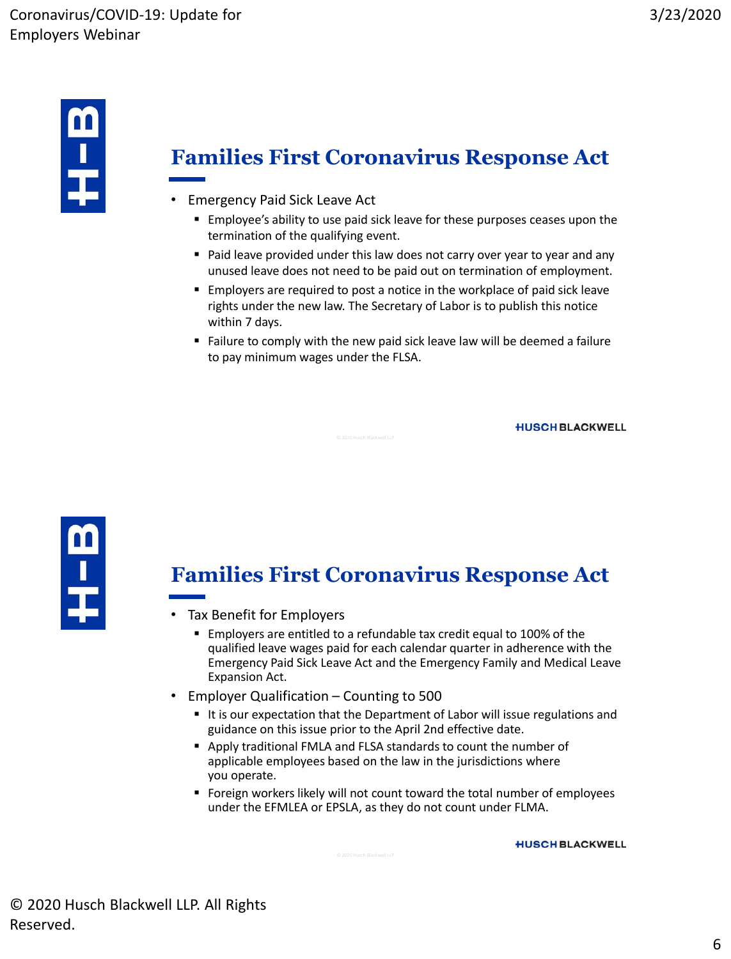

#### **Families First Coronavirus Response Act**

- Emergency Paid Sick Leave Act
	- Employee's ability to use paid sick leave for these purposes ceases upon the termination of the qualifying event.
	- **Paid leave provided under this law does not carry over year to year and any** unused leave does not need to be paid out on termination of employment.
	- **Employers are required to post a notice in the workplace of paid sick leave** rights under the new law. The Secretary of Labor is to publish this notice within 7 days.
	- Failure to comply with the new paid sick leave law will be deemed a failure to pay minimum wages under the FLSA.

**HUSCH BLACKWELL** 



#### **Families First Coronavirus Response Act**

- Tax Benefit for Employers
	- Employers are entitled to a refundable tax credit equal to 100% of the qualified leave wages paid for each calendar quarter in adherence with the Emergency Paid Sick Leave Act and the Emergency Family and Medical Leave Expansion Act.
- Employer Qualification Counting to 500
	- It is our expectation that the Department of Labor will issue regulations and guidance on this issue prior to the April 2nd effective date.
	- Apply traditional FMLA and FLSA standards to count the number of applicable employees based on the law in the jurisdictions where you operate.
	- Foreign workers likely will not count toward the total number of employees under the EFMLEA or EPSLA, as they do not count under FLMA.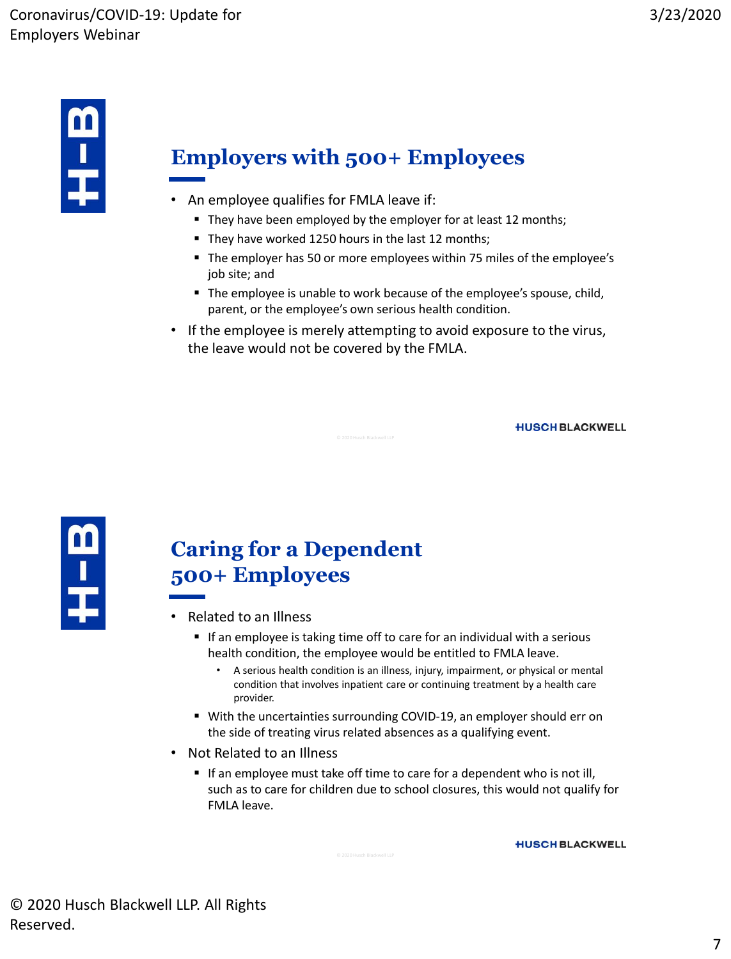

## **Employers with 500+ Employees**

- An employee qualifies for FMLA leave if:
	- They have been employed by the employer for at least 12 months;
	- They have worked 1250 hours in the last 12 months;
	- The employer has 50 or more employees within 75 miles of the employee's job site; and
	- The employee is unable to work because of the employee's spouse, child, parent, or the employee's own serious health condition.
- If the employee is merely attempting to avoid exposure to the virus, the leave would not be covered by the FMLA.

**HUSCH BLACKWELL** 



#### **Caring for a Dependent 500+ Employees**

- Related to an Illness
	- If an employee is taking time off to care for an individual with a serious health condition, the employee would be entitled to FMLA leave.
		- A serious health condition is an illness, injury, impairment, or physical or mental condition that involves inpatient care or continuing treatment by a health care provider.
	- With the uncertainties surrounding COVID-19, an employer should err on the side of treating virus related absences as a qualifying event.
- Not Related to an Illness
	- If an employee must take off time to care for a dependent who is not ill, such as to care for children due to school closures, this would not qualify for FMLA leave.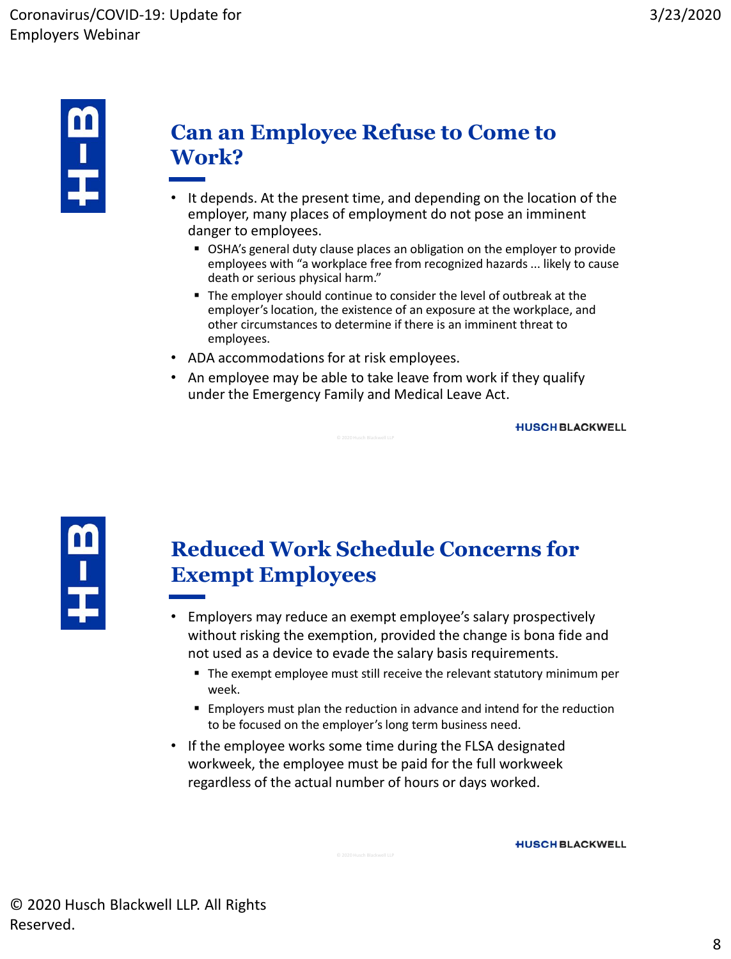

#### **Can an Employee Refuse to Come to Work?**

- It depends. At the present time, and depending on the location of the employer, many places of employment do not pose an imminent danger to employees.
	- OSHA's general duty clause places an obligation on the employer to provide employees with "a workplace free from recognized hazards ... likely to cause death or serious physical harm."
	- The employer should continue to consider the level of outbreak at the employer's location, the existence of an exposure at the workplace, and other circumstances to determine if there is an imminent threat to employees.
- ADA accommodations for at risk employees.
- An employee may be able to take leave from work if they qualify under the Emergency Family and Medical Leave Act.

**HUSCH BLACKWELL** 



#### **Reduced Work Schedule Concerns for Exempt Employees**

- Employers may reduce an exempt employee's salary prospectively without risking the exemption, provided the change is bona fide and not used as a device to evade the salary basis requirements.
	- The exempt employee must still receive the relevant statutory minimum per week.
	- Employers must plan the reduction in advance and intend for the reduction to be focused on the employer's long term business need.
- If the employee works some time during the FLSA designated workweek, the employee must be paid for the full workweek regardless of the actual number of hours or days worked.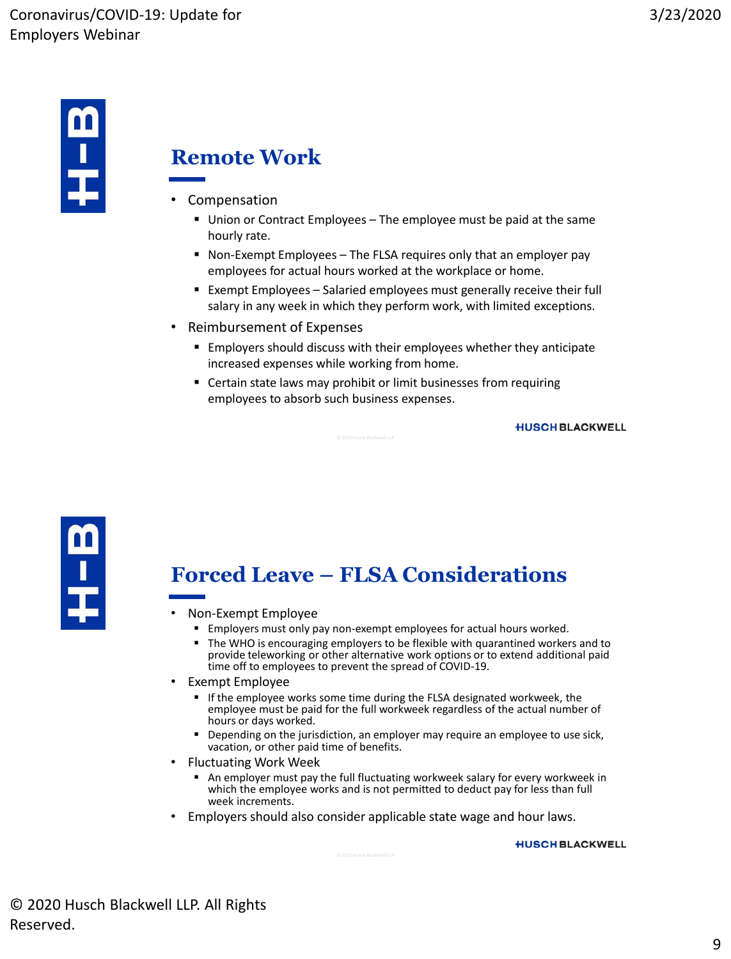

#### **Remote Work**

- Compensation
	- Union or Contract Employees The employee must be paid at the same hourly rate.
	- Non-Exempt Employees The FLSA requires only that an employer pay employees for actual hours worked at the workplace or home.
	- Exempt Employees Salaried employees must generally receive their full salary in any week in which they perform work, with limited exceptions.
- Reimbursement of Expenses
	- Employers should discuss with their employees whether they anticipate increased expenses while working from home.
	- Certain state laws may prohibit or limit businesses from requiring employees to absorb such business expenses.

**HUSCH BLACKWELL** 



## **Forced Leave – FLSA Considerations**

- Non-Exempt Employee
	- **Employers must only pay non-exempt employees for actual hours worked.**
	- **The WHO is encouraging employers to be flexible with quarantined workers and to** provide teleworking or other alternative work options or to extend additional paid time off to employees to prevent the spread of COVID-19.
- Exempt Employee
	- If the employee works some time during the FLSA designated workweek, the employee must be paid for the full workweek regardless of the actual number of hours or days worked.
	- Depending on the jurisdiction, an employer may require an employee to use sick, vacation, or other paid time of benefits.
- Fluctuating Work Week
	- An employer must pay the full fluctuating workweek salary for every workweek in which the employee works and is not permitted to deduct pay for less than full week increments.
- Employers should also consider applicable state wage and hour laws.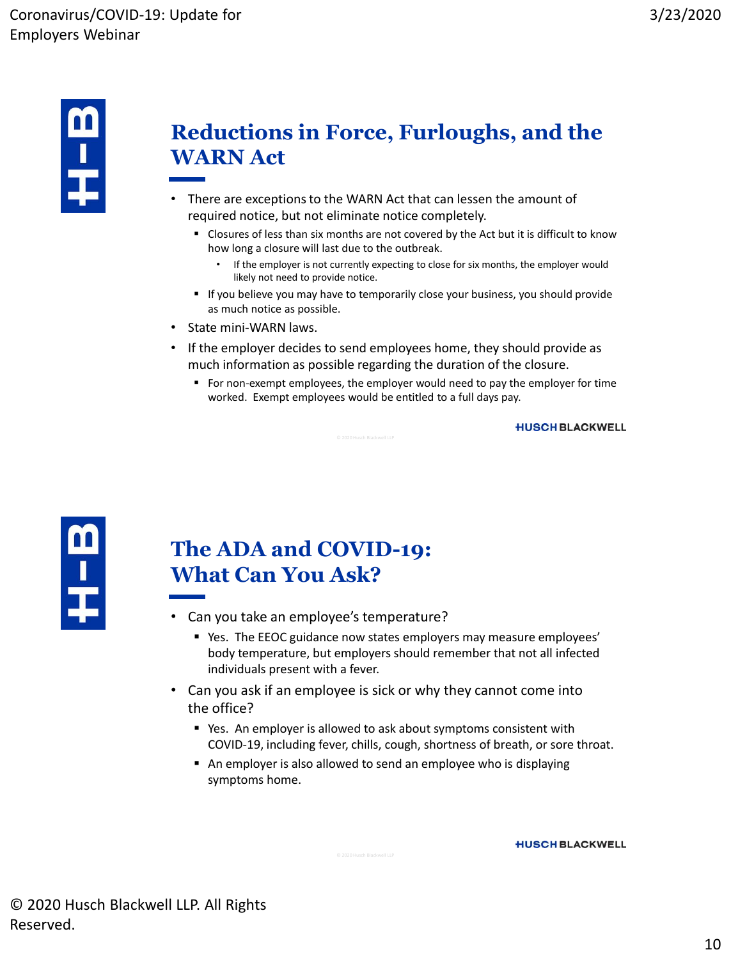

#### **Reductions in Force, Furloughs, and the WARN Act**

- There are exceptions to the WARN Act that can lessen the amount of required notice, but not eliminate notice completely.
	- Closures of less than six months are not covered by the Act but it is difficult to know how long a closure will last due to the outbreak.
		- If the employer is not currently expecting to close for six months, the employer would likely not need to provide notice.
	- **If you believe you may have to temporarily close your business, you should provide** as much notice as possible.
- State mini-WARN laws.
- If the employer decides to send employees home, they should provide as much information as possible regarding the duration of the closure.
	- For non-exempt employees, the employer would need to pay the employer for time worked. Exempt employees would be entitled to a full days pay.

#### **HUSCH BLACKWELL**



#### **The ADA and COVID-19: What Can You Ask?**

- Can you take an employee's temperature?
	- Yes. The EEOC guidance now states employers may measure employees' body temperature, but employers should remember that not all infected individuals present with a fever.
- Can you ask if an employee is sick or why they cannot come into the office?
	- Yes. An employer is allowed to ask about symptoms consistent with COVID-19, including fever, chills, cough, shortness of breath, or sore throat.
	- An employer is also allowed to send an employee who is displaying symptoms home.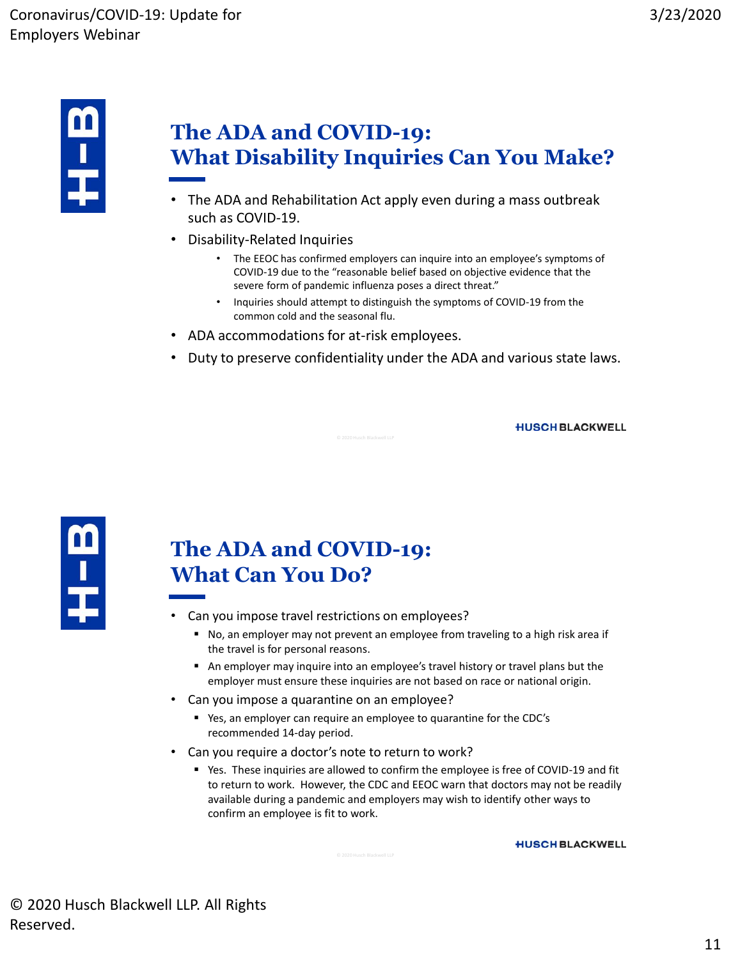

## **The ADA and COVID-19: What Disability Inquiries Can You Make?**

- The ADA and Rehabilitation Act apply even during a mass outbreak such as COVID-19.
- Disability-Related Inquiries
	- The EEOC has confirmed employers can inquire into an employee's symptoms of COVID-19 due to the "reasonable belief based on objective evidence that the severe form of pandemic influenza poses a direct threat."
	- Inquiries should attempt to distinguish the symptoms of COVID-19 from the common cold and the seasonal flu.
- ADA accommodations for at-risk employees.
- Duty to preserve confidentiality under the ADA and various state laws.

**HUSCH BLACKWELL** 



## **The ADA and COVID-19: What Can You Do?**

- Can you impose travel restrictions on employees?
	- No, an employer may not prevent an employee from traveling to a high risk area if the travel is for personal reasons.
	- An employer may inquire into an employee's travel history or travel plans but the employer must ensure these inquiries are not based on race or national origin.
- Can you impose a quarantine on an employee?
	- Yes, an employer can require an employee to quarantine for the CDC's recommended 14-day period.
- Can you require a doctor's note to return to work?
	- Yes. These inquiries are allowed to confirm the employee is free of COVID-19 and fit to return to work. However, the CDC and EEOC warn that doctors may not be readily available during a pandemic and employers may wish to identify other ways to confirm an employee is fit to work.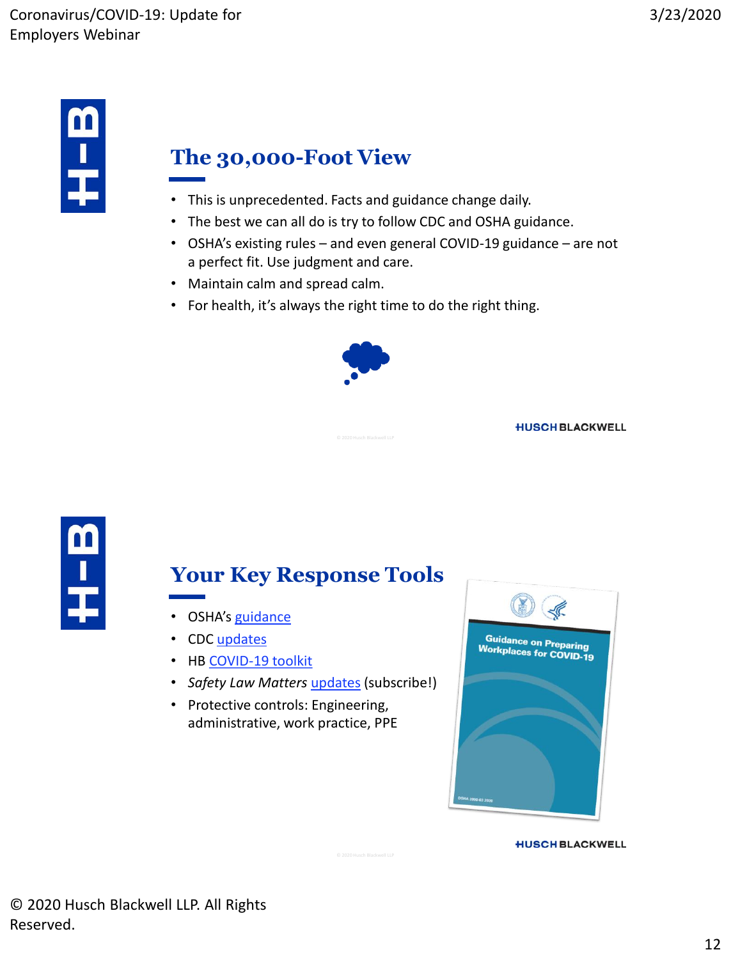

## **The 30,000-Foot View**

- This is unprecedented. Facts and guidance change daily.
- The best we can all do is try to follow CDC and OSHA guidance.
- OSHA's existing rules and even general COVID-19 guidance are not a perfect fit. Use judgment and care.
- Maintain calm and spread calm.
- For health, it's always the right time to do the right thing.



**HUSCH BLACKWELL** 



#### **Your Key Response Tools**

- OSHA's [guidance](https://www.osha.gov/SLTC/covid-19/)
- CDC [updates](https://www.cdc.gov/coronavirus/2019-ncov/index.html)
- HB [COVID-19 toolkit](https://www.huschblackwell.com/coronavirus)
- *Safety Law Matters* [updates](https://www.safetylawmatters.com/subscribe/) (subscribe!)
- Protective controls: Engineering, administrative, work practice, PPE

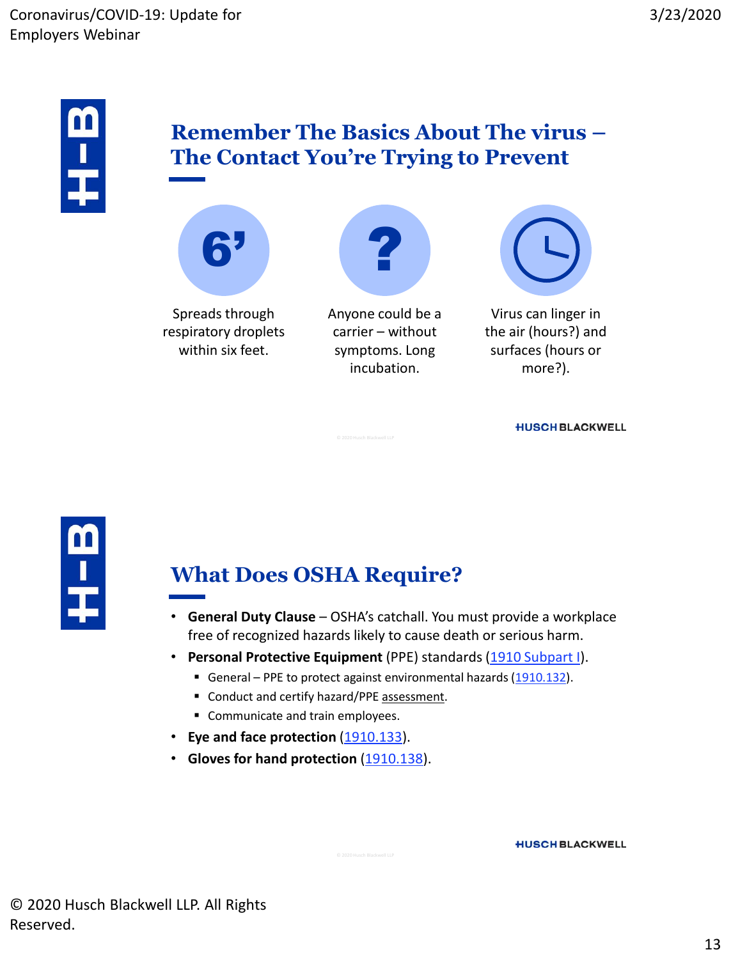

#### **Remember The Basics About The virus – The Contact You're Trying to Prevent**





Anyone could be a carrier – without symptoms. Long incubation.



Virus can linger in the air (hours?) and surfaces (hours or more?).

**HUSCH BLACKWELL** 



#### **What Does OSHA Require?**

- **General Duty Clause**  OSHA's catchall. You must provide a workplace free of recognized hazards likely to cause death or serious harm.
- **Personal Protective Equipment** (PPE) standards [\(1910 Subpart I](https://www.osha.gov/laws-regs/regulations/standardnumber/1910#1910_Subpart_I)).
	- General PPE to protect against environmental hazards ([1910.132](https://www.osha.gov/laws-regs/regulations/standardnumber/1910/1910.132)).
	- Conduct and certify hazard/PPE assessment.
	- Communicate and train employees.
- **Eye and face protection** [\(1910.133](https://www.osha.gov/laws-regs/regulations/standardnumber/1910/1910.133)).
- **Gloves for hand protection** ([1910.138](https://www.osha.gov/laws-regs/regulations/standardnumber/1910/1910.138)).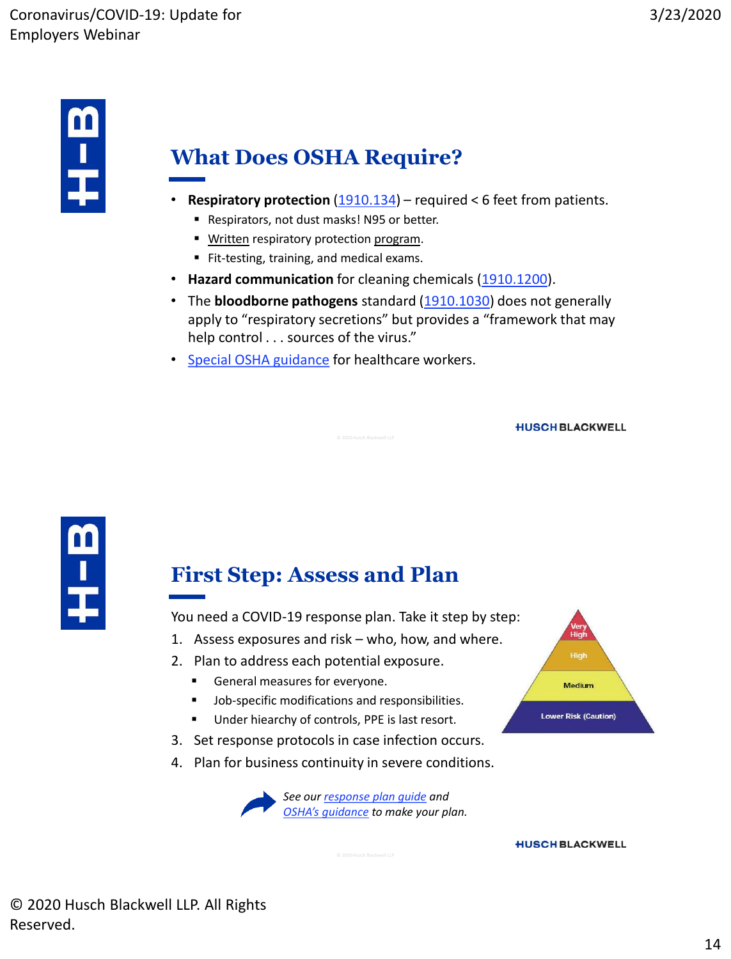

## **What Does OSHA Require?**

- **Respiratory protection** [\(1910.134](https://www.osha.gov/laws-regs/regulations/standardnumber/1910/1910.134)) required < 6 feet from patients.
	- Respirators, not dust masks! N95 or better.
	- **Written respiratory protection program.**
	- Fit-testing, training, and medical exams.
- **Hazard communication** for cleaning chemicals ([1910.1200\)](https://www.osha.gov/laws-regs/regulations/standardnumber/1910/1910.1200).
- The **bloodborne pathogens** standard [\(1910.1030](https://www.osha.gov/laws-regs/regulations/standardnumber/1910/1910.1030)) does not generally apply to "respiratory secretions" but provides a "framework that may help control . . . sources of the virus."
- [Special OSHA guidance](https://www.osha.gov/memos/2020-03-14/temporary-enforcement-guidance-healthcare-respiratory-protection-annual-fit) for healthcare workers.

**HUSCH BLACKWELL** 



#### **First Step: Assess and Plan**

You need a COVID-19 response plan. Take it step by step:

- 1. Assess exposures and risk who, how, and where.
- 2. Plan to address each potential exposure.
	- **General measures for everyone.**
	- **Job-specific modifications and responsibilities.**
	- Under hiearchy of controls, PPE is last resort.
- 3. Set response protocols in case infection occurs.
- 4. Plan for business continuity in severe conditions.



**HUSCH BLACKWELL** 

High

Medium

**Lower Risk (Caution)**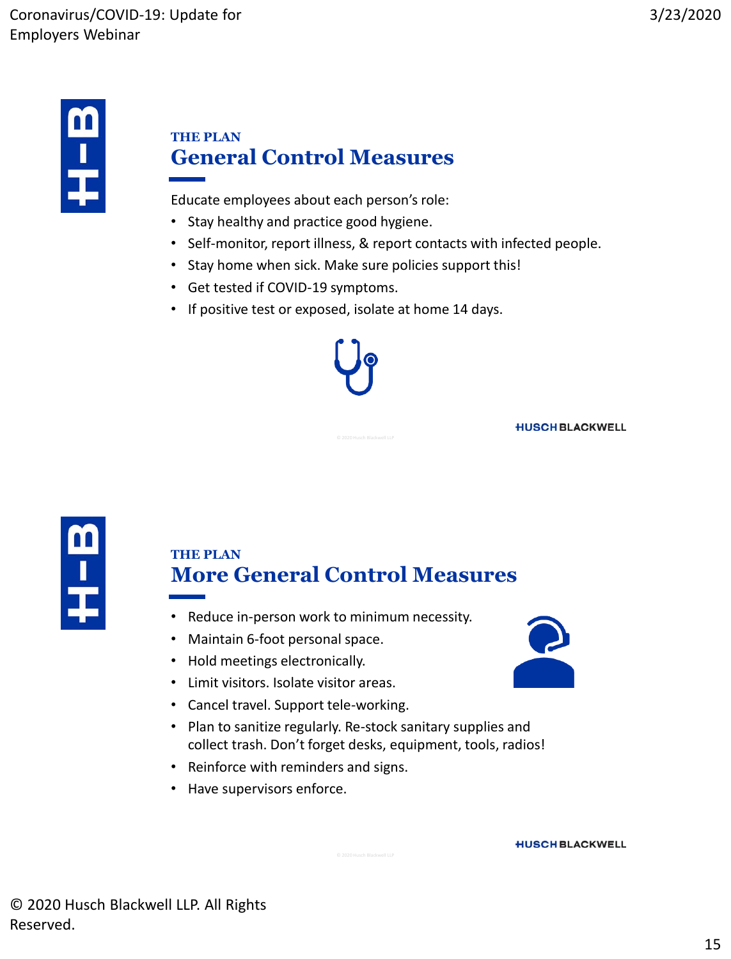

#### **THE PLAN General Control Measures**

Educate employees about each person's role:

- Stay healthy and practice good hygiene.
- Self-monitor, report illness, & report contacts with infected people.
- Stay home when sick. Make sure policies support this!
- Get tested if COVID-19 symptoms.
- If positive test or exposed, isolate at home 14 days.



#### **THE PLAN More General Control Measures**

- Reduce in-person work to minimum necessity.
- Maintain 6-foot personal space.
- Hold meetings electronically.
- Limit visitors. Isolate visitor areas.
- Cancel travel. Support tele-working.
- Plan to sanitize regularly. Re-stock sanitary supplies and collect trash. Don't forget desks, equipment, tools, radios!
- Reinforce with reminders and signs.
- Have supervisors enforce.



**HUSCH BLACKWELL**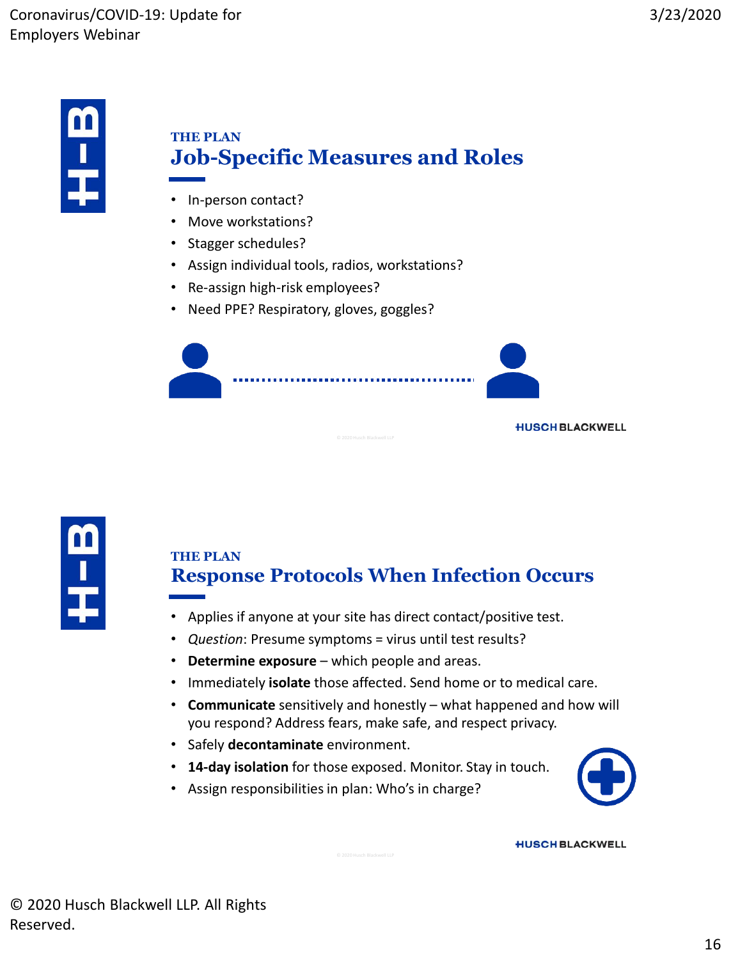

#### **THE PLAN Job-Specific Measures and Roles**

- In-person contact?
- Move workstations?
- Stagger schedules?
- Assign individual tools, radios, workstations?
- Re-assign high-risk employees?
- Need PPE? Respiratory, gloves, goggles?





#### **THE PLAN Response Protocols When Infection Occurs**

- Applies if anyone at your site has direct contact/positive test.
- *Question*: Presume symptoms = virus until test results?
- **Determine exposure**  which people and areas.
- Immediately **isolate** those affected. Send home or to medical care.
- **Communicate** sensitively and honestly what happened and how will you respond? Address fears, make safe, and respect privacy.
- Safely **decontaminate** environment.
- **14-day isolation** for those exposed. Monitor. Stay in touch.
- Assign responsibilities in plan: Who's in charge?

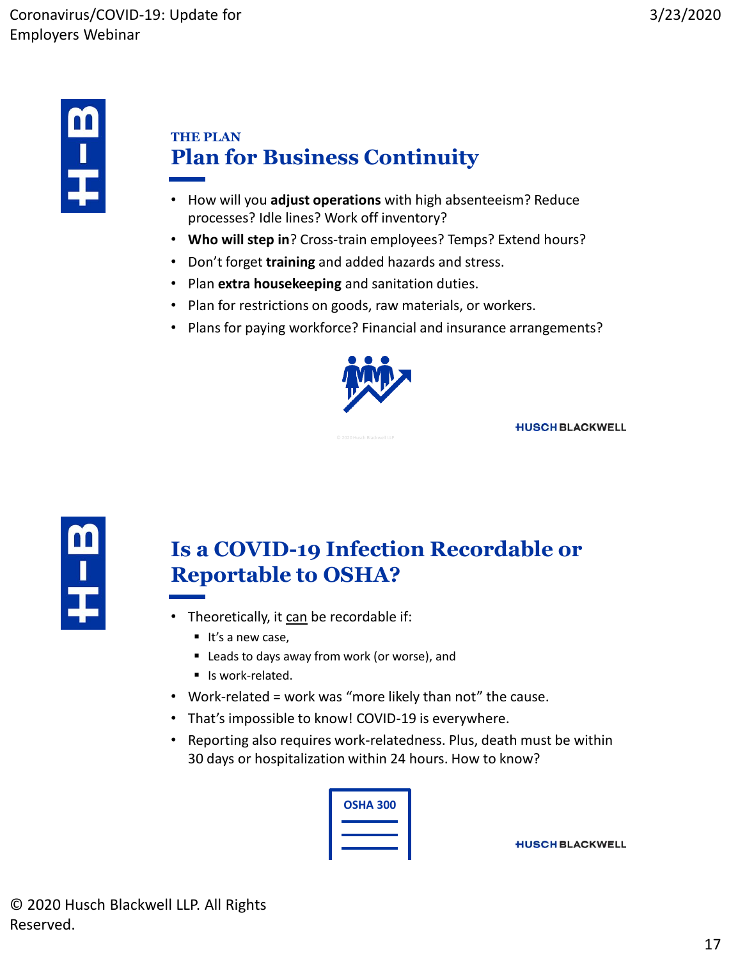

#### **THE PLAN Plan for Business Continuity**

- How will you **adjust operations** with high absenteeism? Reduce processes? Idle lines? Work off inventory?
- **Who will step in**? Cross-train employees? Temps? Extend hours?
- Don't forget **training** and added hazards and stress.
- Plan **extra housekeeping** and sanitation duties.
- Plan for restrictions on goods, raw materials, or workers.
- Plans for paying workforce? Financial and insurance arrangements?



**HUSCH BLACKWELL** 



## **Is a COVID-19 Infection Recordable or Reportable to OSHA?**

- Theoretically, it can be recordable if:
	- $\blacksquare$  It's a new case,
	- Leads to days away from work (or worse), and
	- Is work-related.
- Work-related = work was "more likely than not" the cause.
- That's impossible to know! COVID-19 is everywhere.
- Reporting also requires work-relatedness. Plus, death must be within 30 days or hospitalization within 24 hours. How to know?

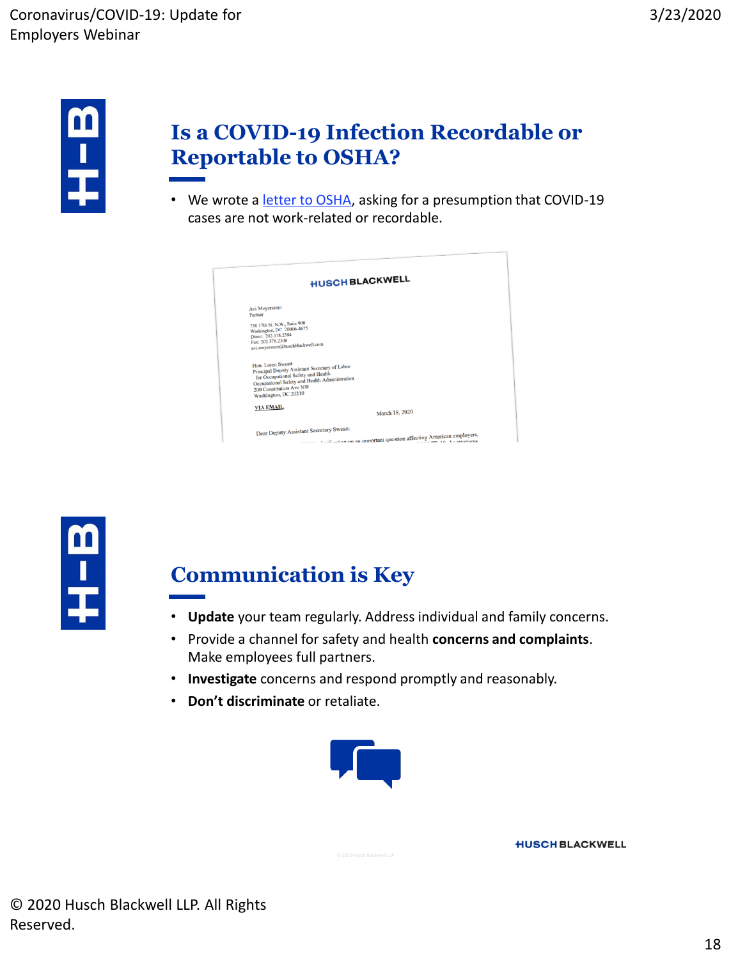

#### **Is a COVID-19 Infection Recordable or Reportable to OSHA?**

• We wrote a *[letter to OSHA](https://www.safetylawmatters.com/wp-content/uploads/sites/629/2020/03/2020-03-18-Husch-Blackwell-letter-to-OSHA-regarding-recordkeeping-requirements-and-COVID.pdf)*, asking for a presumption that COVID-19 cases are not work-related or recordable.

| <b>HUSCH BLACKWELL</b> |                                                                                                                                                                                                              |  |  |
|------------------------|--------------------------------------------------------------------------------------------------------------------------------------------------------------------------------------------------------------|--|--|
|                        | Avi Meyerstein<br>Partner<br>750 17th St. N.W., Suite 900<br>Washington, DC 20006-4675<br>Direct: 202.378.2384<br>Fax: 202.378.2300<br>avi.meyerstein@huschblackwell.com                                     |  |  |
|                        | Hon. Loren Sweatt<br>Principal Deputy Assistant Secretary of Labor<br>for Occupational Safety and Health<br>Occupational Safety and Health Administration<br>200 Constitution Ave NW<br>Washington, DC 20210 |  |  |
|                        | <b>VIA EMAIL</b><br>March 18, 2020                                                                                                                                                                           |  |  |
|                        | Dear Deputy Assistant Secretary Sweatt:                                                                                                                                                                      |  |  |



#### **Communication is Key**

- **Update** your team regularly. Address individual and family concerns.
- Provide a channel for safety and health **concerns and complaints**. Make employees full partners.
- **Investigate** concerns and respond promptly and reasonably.
- **Don't discriminate** or retaliate.

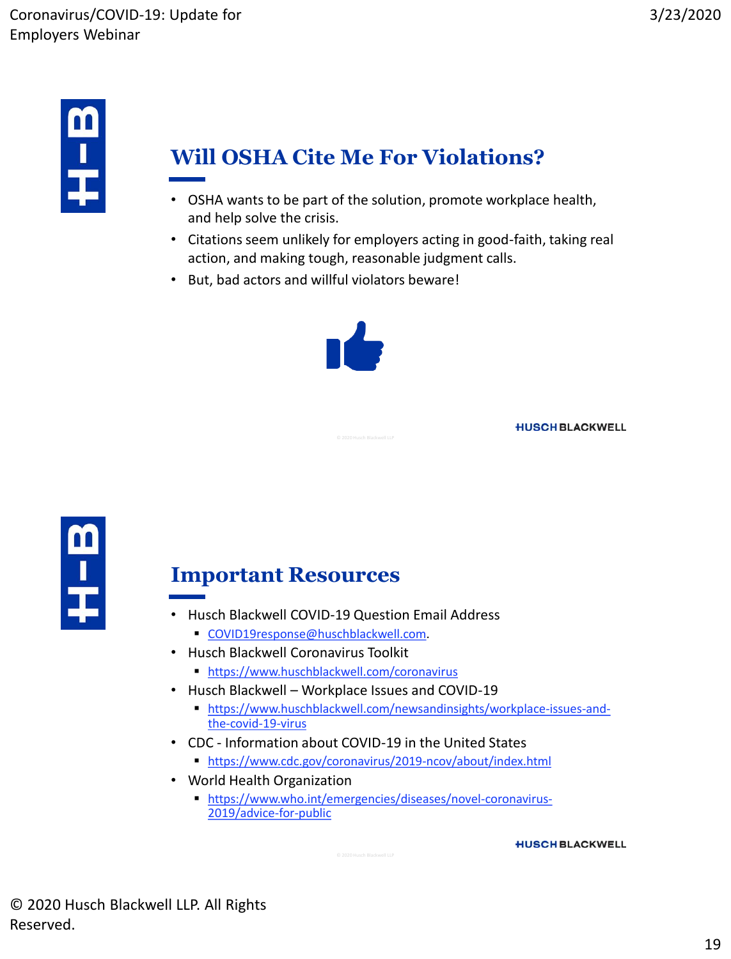

## **Will OSHA Cite Me For Violations?**

- OSHA wants to be part of the solution, promote workplace health, and help solve the crisis.
- Citations seem unlikely for employers acting in good-faith, taking real action, and making tough, reasonable judgment calls.
- But, bad actors and willful violators beware!



**HUSCH BLACKWELL** 



#### **Important Resources**

- Husch Blackwell COVID-19 Question Email Address
	- [COVID19response@huschblackwell.com.](mailto:COVID19response@huschblackwell.com?subject=COVID-19 Question)
- Husch Blackwell Coronavirus Toolkit
	- <https://www.huschblackwell.com/coronavirus>
- Husch Blackwell Workplace Issues and COVID-19
	- [https://www.huschblackwell.com/newsandinsights/workplace-issues-and](https://www.huschblackwell.com/newsandinsights/workplace-issues-and-the-covid-19-virus)[the-covid-19-virus](https://www.huschblackwell.com/newsandinsights/workplace-issues-and-the-covid-19-virus)
- CDC Information about COVID-19 in the United States
	- <https://www.cdc.gov/coronavirus/2019-ncov/about/index.html>
- World Health Organization
	- [https://www.who.int/emergencies/diseases/novel-coronavirus-](https://www.who.int/emergencies/diseases/novel-coronavirus-2019/advice-for-public)[2019/advice-for-public](https://www.who.int/emergencies/diseases/novel-coronavirus-2019/advice-for-public)